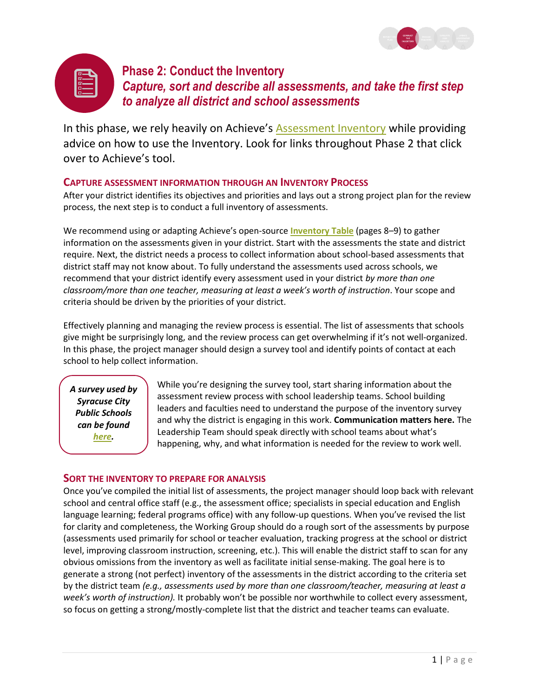



# **Phase 2: Conduct the Inventory** *Capture, sort and describe all assessments, and take the first step to analyze all district and school assessments*

In this phase, we rely heavily on Achieve's **[Assessment Inventory](http://www.achieve.org/files/AchieveStudentAssessmentInventory.pdf)** while providing advice on how to use the Inventory. Look for links throughout Phase 2 that click over to Achieve's tool.

## **CAPTURE ASSESSMENT INFORMATION THROUGH AN INVENTORY PROCESS**

After your district identifies its objectives and priorities and lays out a strong project plan for the review process, the next step is to conduct a full inventory of assessments.

We recommend using or adapting Achieve's open-source **[Inventory Table](http://www.achieve.org/files/AchieveStudentAssessmentInventory.pdf)** (pages 8–9) to gather information on the assessments given in your district. Start with the assessments the state and district require. Next, the district needs a process to collect information about school-based assessments that district staff may not know about. To fully understand the assessments used across schools, we recommend that your district identify every assessment used in your district *by more than one classroom/more than one teacher, measuring at least a week's worth of instruction*. Your scope and criteria should be driven by the priorities of your district.

Effectively planning and managing the review process is essential. The list of assessments that schools give might be surprisingly long, and the review process can get overwhelming if it's not well-organized. In this phase, the project manager should design a survey tool and identify points of contact at each school to help collect information.

*A survey used by Syracuse City Public Schools can be found [here.](https://www.dropbox.com/home/Assessment%20Toolkit%20Materials/Plug%20and%20Play%20materials?preview=SCSD+School+Assessment+Inventory+Survey.docx)*

While you're designing the survey tool, start sharing information about the assessment review process with school leadership teams. School building leaders and faculties need to understand the purpose of the inventory survey and why the district is engaging in this work. **Communication matters here.** The Leadership Team should speak directly with school teams about what's happening, why, and what information is needed for the review to work well.

## **SORT THE INVENTORY TO PREPARE FOR ANALYSIS**

Once you've compiled the initial list of assessments, the project manager should loop back with relevant school and central office staff (e.g., the assessment office; specialists in special education and English language learning; federal programs office) with any follow-up questions. When you've revised the list for clarity and completeness, the Working Group should do a rough sort of the assessments by purpose (assessments used primarily for school or teacher evaluation, tracking progress at the school or district level, improving classroom instruction, screening, etc.). This will enable the district staff to scan for any obvious omissions from the inventory as well as facilitate initial sense-making. The goal here is to generate a strong (not perfect) inventory of the assessments in the district according to the criteria set by the district team *(e.g., assessments used by more than one classroom/teacher, measuring at least a week's worth of instruction).* It probably won't be possible nor worthwhile to collect every assessment, so focus on getting a strong/mostly-complete list that the district and teacher teams can evaluate.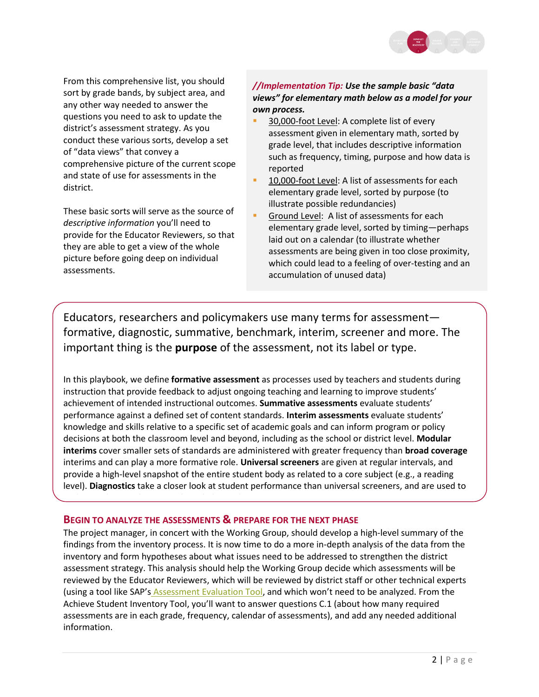

From this comprehensive list, you should sort by grade bands, by subject area, and any other way needed to answer the questions you need to ask to update the district's assessment strategy. As you conduct these various sorts, develop a set of "data views" that convey a comprehensive picture of the current scope and state of use for assessments in the district.

These basic sorts will serve as the source of *descriptive information* you'll need to provide for the Educator Reviewers, so that they are able to get a view of the whole picture before going deep on individual assessments.

### *//Implementation Tip: Use the sample basic "data views" for elementary math below as a model for your own process.*

- 30,000-foot Level: A complete list of every assessment given in elementary math, sorted by grade level, that includes descriptive information such as frequency, timing, purpose and how data is reported
- 10,000-foot Level: A list of assessments for each elementary grade level, sorted by purpose (to illustrate possible redundancies)
- Ground Level: A list of assessments for each elementary grade level, sorted by timing—perhaps laid out on a calendar (to illustrate whether assessments are being given in too close proximity, which could lead to a feeling of over-testing and an accumulation of unused data)

Educators, researchers and policymakers use many terms for assessment formative, diagnostic, summative, benchmark, interim, screener and more. The important thing is the **purpose** of the assessment, not its label or type.

In this playbook, we define **formative assessment** as processes used by teachers and students during instruction that provide feedback to adjust ongoing teaching and learning to improve students' achievement of intended instructional outcomes. **Summative assessments** evaluate students' performance against a defined set of content standards. **Interim assessments** evaluate students' knowledge and skills relative to a specific set of academic goals and can inform program or policy decisions at both the classroom level and beyond, including as the school or district level. **Modular interims** cover smaller sets of standards are administered with greater frequency than **broad coverage** interims and can play a more formative role. **Universal screeners** are given at regular intervals, and provide a high-level snapshot of the entire student body as related to a core subject (e.g., a reading level). **Diagnostics** take a closer look at student performance than universal screeners, and are used to

#### **BEGIN TO ANALYZE THE ASSESSMENTS & PREPARE FOR THE NEXT PHASE**

understand more about prior knowledge and misconceptions.

The project manager, in concert with the Working Group, should develop a high-level summary of the findings from the inventory process. It is now time to do a more in-depth analysis of the data from the inventory and form hypotheses about what issues need to be addressed to strengthen the district assessment strategy. This analysis should help the Working Group decide which assessments will be reviewed by the Educator Reviewers, which will be reviewed by district staff or other technical experts (using a tool like SAP's [Assessment Evaluation Tool,](http://achievethecore.org/dashboard/410/search/3/1/0/1/2/3/4/5/6/7/8/9/10/11/12/page/606/assessment-evaluation-tool-aet-list-pg) and which won't need to be analyzed. From the Achieve Student Inventory Tool, you'll want to answer questions C.1 (about how many required assessments are in each grade, frequency, calendar of assessments), and add any needed additional information.